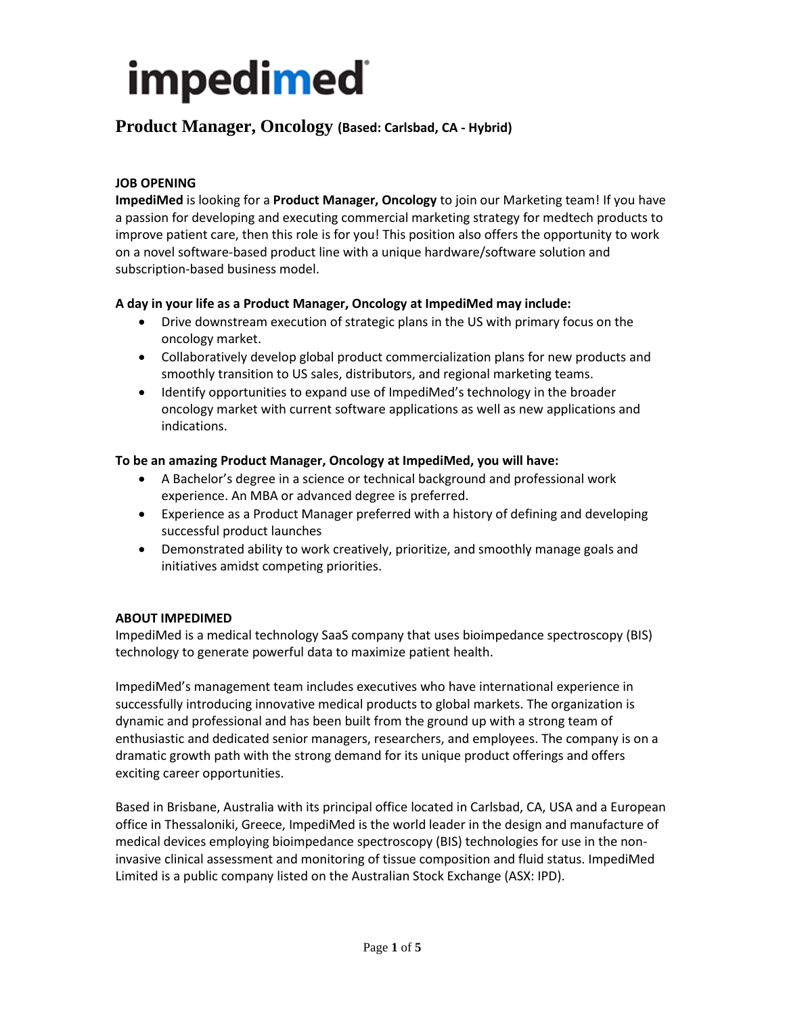### **Product Manager, Oncology (Based: Carlsbad, CA - Hybrid)**

#### **JOB OPENING**

**ImpediMed** is looking for a **Product Manager, Oncology** to join our Marketing team! If you have a passion for developing and executing commercial marketing strategy for medtech products to improve patient care, then this role is for you! This position also offers the opportunity to work on a novel software-based product line with a unique hardware/software solution and subscription-based business model.

#### **A day in your life as a Product Manager, Oncology at ImpediMed may include:**

- Drive downstream execution of strategic plans in the US with primary focus on the oncology market.
- Collaboratively develop global product commercialization plans for new products and smoothly transition to US sales, distributors, and regional marketing teams.
- Identify opportunities to expand use of ImpediMed's technology in the broader oncology market with current software applications as well as new applications and indications.

#### **To be an amazing Product Manager, Oncology at ImpediMed, you will have:**

- A Bachelor's degree in a science or technical background and professional work experience. An MBA or advanced degree is preferred.
- Experience as a Product Manager preferred with a history of defining and developing successful product launches
- Demonstrated ability to work creatively, prioritize, and smoothly manage goals and initiatives amidst competing priorities.

#### **ABOUT IMPEDIMED**

ImpediMed is a medical technology SaaS company that uses bioimpedance spectroscopy (BIS) technology to generate powerful data to maximize patient health.

ImpediMed's management team includes executives who have international experience in successfully introducing innovative medical products to global markets. The organization is dynamic and professional and has been built from the ground up with a strong team of enthusiastic and dedicated senior managers, researchers, and employees. The company is on a dramatic growth path with the strong demand for its unique product offerings and offers exciting career opportunities.

Based in Brisbane, Australia with its principal office located in Carlsbad, CA, USA and a European office in Thessaloniki, Greece, ImpediMed is the world leader in the design and manufacture of medical devices employing bioimpedance spectroscopy (BIS) technologies for use in the noninvasive clinical assessment and monitoring of tissue composition and fluid status. ImpediMed Limited is a public company listed on the Australian Stock Exchange (ASX: IPD).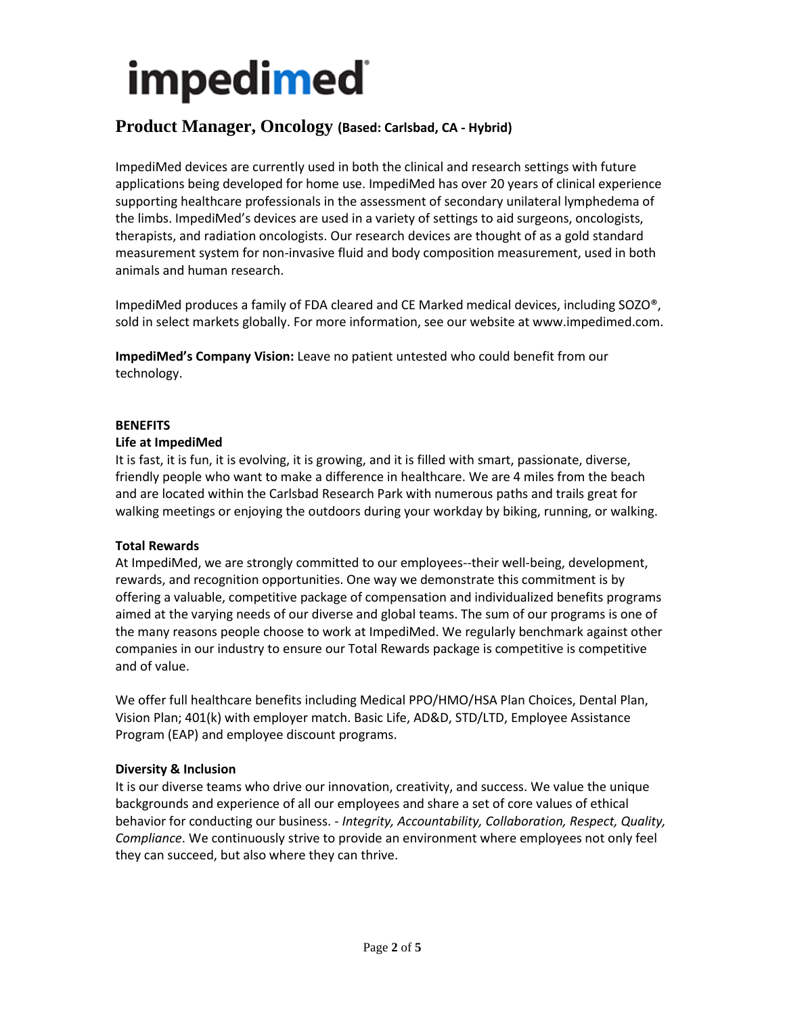### **Product Manager, Oncology (Based: Carlsbad, CA - Hybrid)**

ImpediMed devices are currently used in both the clinical and research settings with future applications being developed for home use. ImpediMed has over 20 years of clinical experience supporting healthcare professionals in the assessment of secondary unilateral lymphedema of the limbs. ImpediMed's devices are used in a variety of settings to aid surgeons, oncologists, therapists, and radiation oncologists. Our research devices are thought of as a gold standard measurement system for non-invasive fluid and body composition measurement, used in both animals and human research.

ImpediMed produces a family of FDA cleared and CE Marked medical devices, including SOZO®, sold in select markets globally. For more information, see our website at www.impedimed.com.

**ImpediMed's Company Vision:** Leave no patient untested who could benefit from our technology.

#### **BENEFITS**

#### **Life at ImpediMed**

It is fast, it is fun, it is evolving, it is growing, and it is filled with smart, passionate, diverse, friendly people who want to make a difference in healthcare. We are 4 miles from the beach and are located within the Carlsbad Research Park with numerous paths and trails great for walking meetings or enjoying the outdoors during your workday by biking, running, or walking.

#### **Total Rewards**

At ImpediMed, we are strongly committed to our employees--their well-being, development, rewards, and recognition opportunities. One way we demonstrate this commitment is by offering a valuable, competitive package of compensation and individualized benefits programs aimed at the varying needs of our diverse and global teams. The sum of our programs is one of the many reasons people choose to work at ImpediMed. We regularly benchmark against other companies in our industry to ensure our Total Rewards package is competitive is competitive and of value.

We offer full healthcare benefits including Medical PPO/HMO/HSA Plan Choices, Dental Plan, Vision Plan; 401(k) with employer match. Basic Life, AD&D, STD/LTD, Employee Assistance Program (EAP) and employee discount programs.

#### **Diversity & Inclusion**

It is our diverse teams who drive our innovation, creativity, and success. We value the unique backgrounds and experience of all our employees and share a set of core values of ethical behavior for conducting our business. - *Integrity, Accountability, Collaboration, Respect, Quality, Compliance*. We continuously strive to provide an environment where employees not only feel they can succeed, but also where they can thrive.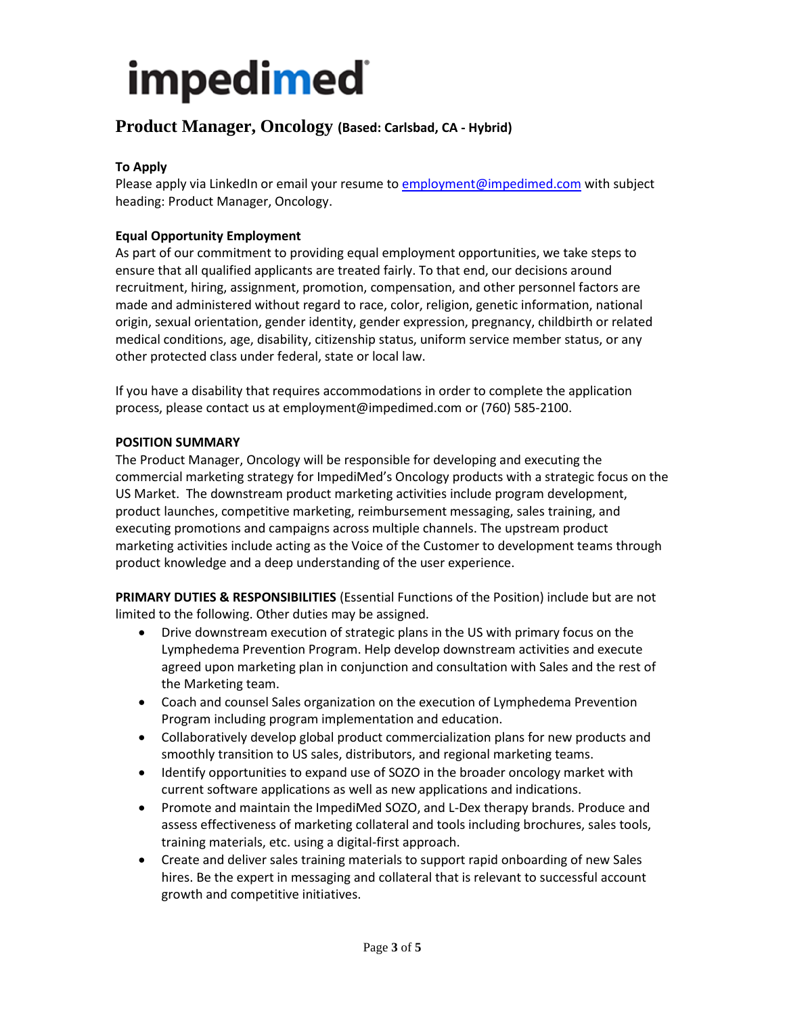### **Product Manager, Oncology (Based: Carlsbad, CA - Hybrid)**

#### **To Apply**

Please apply via LinkedIn or email your resume t[o employment@impedimed.com](mailto:employment@impedimed.com) with subject heading: Product Manager, Oncology.

#### **Equal Opportunity Employment**

As part of our commitment to providing equal employment opportunities, we take steps to ensure that all qualified applicants are treated fairly. To that end, our decisions around recruitment, hiring, assignment, promotion, compensation, and other personnel factors are made and administered without regard to race, color, religion, genetic information, national origin, sexual orientation, gender identity, gender expression, pregnancy, childbirth or related medical conditions, age, disability, citizenship status, uniform service member status, or any other protected class under federal, state or local law.

If you have a disability that requires accommodations in order to complete the application process, please contact us at employment@impedimed.com or (760) 585-2100.

#### **POSITION SUMMARY**

The Product Manager, Oncology will be responsible for developing and executing the commercial marketing strategy for ImpediMed's Oncology products with a strategic focus on the US Market. The downstream product marketing activities include program development, product launches, competitive marketing, reimbursement messaging, sales training, and executing promotions and campaigns across multiple channels. The upstream product marketing activities include acting as the Voice of the Customer to development teams through product knowledge and a deep understanding of the user experience.

**PRIMARY DUTIES & RESPONSIBILITIES** (Essential Functions of the Position) include but are not limited to the following. Other duties may be assigned.

- Drive downstream execution of strategic plans in the US with primary focus on the Lymphedema Prevention Program. Help develop downstream activities and execute agreed upon marketing plan in conjunction and consultation with Sales and the rest of the Marketing team.
- Coach and counsel Sales organization on the execution of Lymphedema Prevention Program including program implementation and education.
- Collaboratively develop global product commercialization plans for new products and smoothly transition to US sales, distributors, and regional marketing teams.
- Identify opportunities to expand use of SOZO in the broader oncology market with current software applications as well as new applications and indications.
- Promote and maintain the ImpediMed SOZO, and L-Dex therapy brands. Produce and assess effectiveness of marketing collateral and tools including brochures, sales tools, training materials, etc. using a digital-first approach.
- Create and deliver sales training materials to support rapid onboarding of new Sales hires. Be the expert in messaging and collateral that is relevant to successful account growth and competitive initiatives.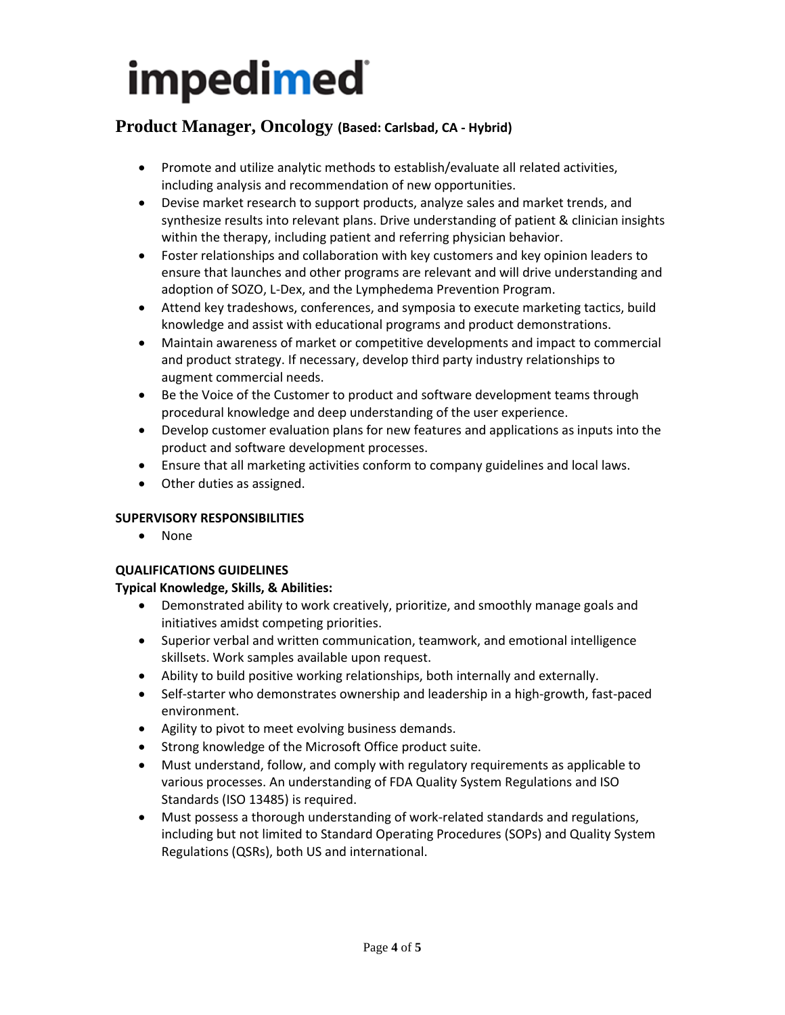### **Product Manager, Oncology (Based: Carlsbad, CA - Hybrid)**

- Promote and utilize analytic methods to establish/evaluate all related activities, including analysis and recommendation of new opportunities.
- Devise market research to support products, analyze sales and market trends, and synthesize results into relevant plans. Drive understanding of patient & clinician insights within the therapy, including patient and referring physician behavior.
- Foster relationships and collaboration with key customers and key opinion leaders to ensure that launches and other programs are relevant and will drive understanding and adoption of SOZO, L-Dex, and the Lymphedema Prevention Program.
- Attend key tradeshows, conferences, and symposia to execute marketing tactics, build knowledge and assist with educational programs and product demonstrations.
- Maintain awareness of market or competitive developments and impact to commercial and product strategy. If necessary, develop third party industry relationships to augment commercial needs.
- Be the Voice of the Customer to product and software development teams through procedural knowledge and deep understanding of the user experience.
- Develop customer evaluation plans for new features and applications as inputs into the product and software development processes.
- Ensure that all marketing activities conform to company guidelines and local laws.
- Other duties as assigned.

#### **SUPERVISORY RESPONSIBILITIES**

• None

#### **QUALIFICATIONS GUIDELINES**

#### **Typical Knowledge, Skills, & Abilities:**

- Demonstrated ability to work creatively, prioritize, and smoothly manage goals and initiatives amidst competing priorities.
- Superior verbal and written communication, teamwork, and emotional intelligence skillsets. Work samples available upon request.
- Ability to build positive working relationships, both internally and externally.
- Self-starter who demonstrates ownership and leadership in a high-growth, fast-paced environment.
- Agility to pivot to meet evolving business demands.
- Strong knowledge of the Microsoft Office product suite.
- Must understand, follow, and comply with regulatory requirements as applicable to various processes. An understanding of FDA Quality System Regulations and ISO Standards (ISO 13485) is required.
- Must possess a thorough understanding of work-related standards and regulations, including but not limited to Standard Operating Procedures (SOPs) and Quality System Regulations (QSRs), both US and international.